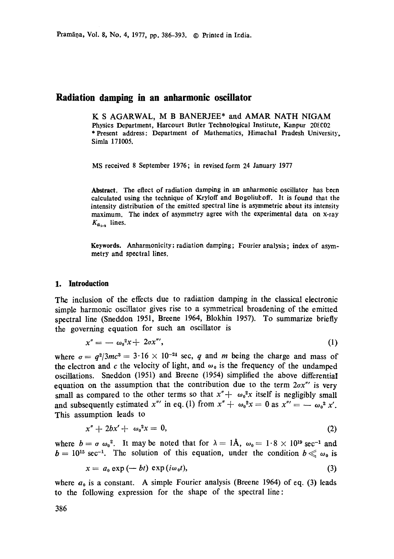# **Radiation damping in an anharmonic oscillator**

K S AGARWAL, M B BANERJEE\* and AMAR NATH NIGAM Physics Department, Harcourt Butler Technological Institute, Kanpur 208002 \*Present address: Department of Mathematics, Himachal Pradesh University, Simla 171005.

MS received 8 September 1976; in revised form 24 January 1977

Abstract. The effect of radiation damping in an anharmonic oscillator has been calculated using the technique of Kryloff and Bogoliulzoff. It is found that the intensity distribution of the emitted spectral line is asymmetric about its intensity maximum. The index of asymmetry agree with the experimental data on x-ray  $K_{\alpha_{1},\alpha}$  lines.

**Keywords.** Anharmonicity; radiation damping; Fourier analysis; index of asymmetry and spectral lines.

### **1. Introduction**

The inclusion of the effects due to radiation damping in the classical electronic simple harmonic oscillator gives rise to a symmetrical broadening of the emitted spectral line (Sneddon 1951, Breene 1964, Blokhin 1957). To summarize briefly the governing equation for such an oscillator is

$$
x'' = -\omega_0^2 x + 2\sigma x''', \tag{1}
$$

where  $\sigma = q^2/3mc^3 = 3.16 \times 10^{-24}$  sec, q and m being the charge and mass of the electron and c the velocity of light, and  $\omega_0$  is the frequency of the undamped oscillations. Sneddon (1951) and Breene (1954) simplified the above differential equation on the assumption that the contribution due to the term  $2\sigma x''$  is very small as compared to the other terms so that  $x'' + \omega_0^2 x$  itself is negligibly small and subsequently estimated *x*" in eq. (1) from  $x'' + \omega_0^2 x = 0$  as  $x''' = -\omega_0^2 x'$ . This assumption leads to

$$
x'' + 2bx' + \omega_0^2 x = 0, \tag{2}
$$

where  $b=\sigma\omega_0^2$ . It may be noted that for  $\lambda=1\text{\AA}$ ,  $\omega_0=1.8 \times 10^{19} \text{ sec}^{-1}$  and  $b = 10^{15} \text{ sec}^{-1}$ . The solution of this equation, under the condition  $b \ll \omega_0$  is

$$
x = a_0 \exp(-bt) \exp(i\omega_0 t), \tag{3}
$$

where  $a_0$  is a constant. A simple Fourier analysis (Breene 1964) of eq. (3) leads to the following expression for the shape of the spectral line: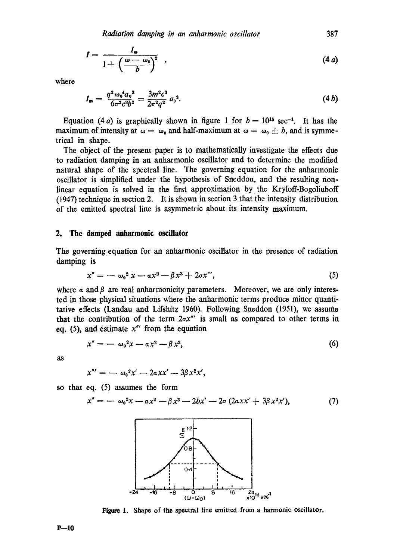$$
I = \frac{I_m}{1 + \left(\frac{\omega - \omega_0}{b}\right)^2} \quad , \tag{4a}
$$

where

$$
I_{\mathbf{m}} = \frac{q^2 \omega_0^4 a_0^2}{6 \pi^2 c^3 b^2} = \frac{3m^2 c^3}{2\pi^2 q^2} a_0^2.
$$
 (4 b)

Equation (4 a) is graphically shown in figure 1 for  $b = 10^{15}$  sec<sup>-1</sup>. It has the maximum of intensity at  $\omega = \omega_0$  and half-maximum at  $\omega = \omega_0 \pm b$ , and is symmetrical in shape.

The object of the present paper is to mathematically investigate the effects due to radiation damping in an anharmonic oscillator and to determine the modified natural shape of the spectral line. The governing equation for the anharmonic oscillator is simplified under the hypothesis of Sneddon, and the resulting nonlinear equation is solved in the first approximation by the Kryloff-Bogoliuboff (1947) technique in section 2. It is shown in section 3 that the intensity distribution of the emitted spectral line is asymmetric about its intensity maximum.

#### **2. The damped anharmonic oscillator**

The governing equation for an anharmonic oscillator in the presence of radiation damping is

$$
x'' = -\omega_0^2 x - a x^2 - \beta x^3 + 2\sigma x''',
$$
 (5)

where  $\alpha$  and  $\beta$  are real anharmonicity parameters. Moreover, we are only interested in those physical situations where the anharmonic terms produce minor quantitative effects (Landau and Lifshitz 1960). Following Sneddon (1951), we assume that the contribution of the term  $2\sigma x''$  is small as compared to other terms in eq. (5), and estimate *x"'* from the equation

$$
x'' = -\omega_0^2 x - a x^2 - \beta x^3, \qquad (6)
$$

as

$$
x''' = -\omega_0^2 x' - 2axx' - 3\beta x^2 x',
$$

so that eq. (5) assumes the form

$$
x'' = -\omega_0^2 x - \alpha x^2 - \beta x^3 - 2bx' - 2\sigma (2\alpha x' + 3\beta x^2 x'), \tag{7}
$$



Figure 1. Shape of the spectral line emitted from a harmonic oscillator.

**9---10**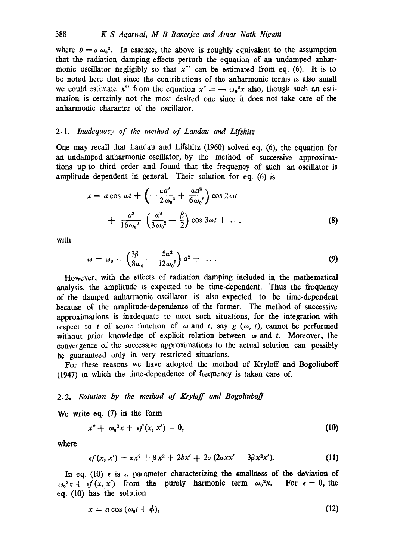where  $b = \sigma \omega_0^2$ . In essence, the above is roughly equivalent to the assumption that the radiation damping effects perturb the equation of an undamped anharmonic oscillator negligibly so that *x"'* can be estimated from eq. (6). It is to be noted here that since the contributions of the anharmonic terms is also small we could estimate  $x''$  from the equation  $x'' = -\omega_0^2 x$  also, though such an estimation is certainly not the most desired one since it does not take care of the anharmonic character of the oscillator.

## *2.1. Inadequacy of the method of Landau and Lifshitz*

One may recall that Landau and Lifshitz (1960) solved eq. (6), the equation for an undamped anharmonic oscillator, by the method of successive approximations up to third order and found that the frequency of such an oscillator is amplitude-dependent in general. Their solution for eq. (6) is

$$
x = a \cos \omega t + \left( -\frac{a a^2}{2 \omega_0^2} + \frac{a a^2}{6 \omega_0^2} \right) \cos 2 \omega t + \frac{a^3}{16 \omega_0^2} \left( \frac{a^2}{3 \omega_0^2} - \frac{\beta}{2} \right) \cos 3 \omega t + \dots
$$
 (8)

with

$$
\omega = \omega_0 + \left(\frac{3\beta}{8\omega_0} - \frac{5a^2}{12\omega_0^3}\right)a^2 + \ldots \tag{9}
$$

However, with the effects of radiation damping included in the mathematical analysis, the amplitude is expected to be time-dependent. Thus the frequency of the damped anharmonic oscillator is also expected to be time-dependent because of the amplitude-dependence of the former. The method of successive approximations is inadequate to meet such situations, for the integration with respect to t of some function of  $\omega$  and t, say  $g(\omega, t)$ , cannot be performed without prior knowledge of explicit relation between  $\omega$  and t. Moreover, the convergence of the successive approximations to the actual solution can possibly be guaranteed only in very restricted situations.

For these reasons we have adopted the method of Kryloff and Bogoliuboff (1947) in which the time-dependence of frequency is taken care of.

# *2.2, Solution by the method of Ifryloff and Bogoliuboff*

We write eq. (7) in the form

$$
x'' + \omega_0^2 x + \epsilon f(x, x') = 0, \qquad (10)
$$

where

$$
\epsilon f(x, x') = \alpha x^2 + \beta x^3 + 2bx' + 2\sigma (2\alpha xx' + 3\beta x^2 x'). \tag{11}
$$

In eq. (10)  $\epsilon$  is a parameter characterizing the smallness of the deviation of  $\omega_0^2x + \epsilon f(x, x')$  from the purely harmonic term  $\omega_0^2x$ . For  $\epsilon = 0$ , the eq. (10) has the solution

$$
x = a \cos (\omega_0 t + \phi), \tag{12}
$$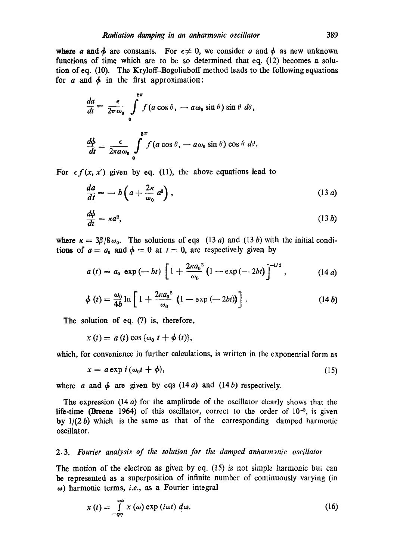where a and  $\phi$  are constants. For  $\epsilon \neq 0$ , we consider a and  $\phi$  as new unknown functions of time which are to be so determined that eq. (12) becomes a solution of eq. (10). The Kryloff-Bogoliuboff method leads to the following equations for  $a$  and  $\phi$  in the first approximation:

$$
\frac{da}{dt} = \frac{\epsilon}{2\pi\omega_0} \int_{0}^{2\pi} f(a\cos\theta, -a\omega_0\sin\theta)\sin\theta \ d\theta,
$$
  

$$
\frac{d\phi}{dt} = \frac{\epsilon}{2\pi a\omega_0} \int_{0}^{2\pi} f(a\cos\theta, -a\omega_0\sin\theta)\cos\theta \ d\theta.
$$

For  $\epsilon f(x, x')$  given by eq. (11), the above equations lead to

$$
\frac{da}{dt} = -b\left(a + \frac{2\kappa}{\omega_0}a^3\right),\tag{13 a}
$$

$$
\frac{d\phi}{dt} = \kappa a^2, \tag{13 b}
$$

where  $\kappa = 3\beta/8\omega_0$ . The solutions of eqs (13 a) and (13 b) with the initial conditions of  $a = a_0$  and  $\phi = 0$  at  $t = 0$ , are respectively given by

$$
a(t) = a_0 \exp(-bt) \left[ 1 + \frac{2\kappa a_0^2}{\omega_0} \left( 1 - \exp(-2bt) \right) \right]^{-1/2}, \qquad (14 a)
$$

$$
\phi(t) = \frac{\omega_0}{4b} \ln \left[ 1 + \frac{2\kappa a_0^2}{\omega_0} \left( 1 - \exp\left(-2bt\right) \right) \right]. \tag{14b}
$$

The solution of eq. (7) is, therefore,

 $x(t) = a(t) \cos \{\omega_0 t + \phi(t)\},$ 

which, for convenience in further calculations, is written in the exponential form as

$$
x = a \exp i(\omega_0 t + \phi), \tag{15}
$$

where a and  $\phi$  are given by eqs (14 a) and (14 b) respectively.

The expression  $(14 a)$  for the amplitude of the oscillator clearly shows that the life-time (Breene 1964) of this oscillator, correct to the order of  $10^{-3}$ , is given by  $1/(2 b)$  which is the same as that of the corresponding damped harmonic oscillator.

## 2.3. Fourier analysis of the solution for the damped anharmanic oscillator

The motion of the electron as given by eq. (15) is not simple harmonic but can be represented as a superposition of infinite number of continuously varying (in oJ) harmonic terms, *i.e.,* as a Fourier integral

$$
x(t) = \int_{-\infty}^{\infty} x(\omega) \exp(i\omega t) d\omega.
$$
 (16)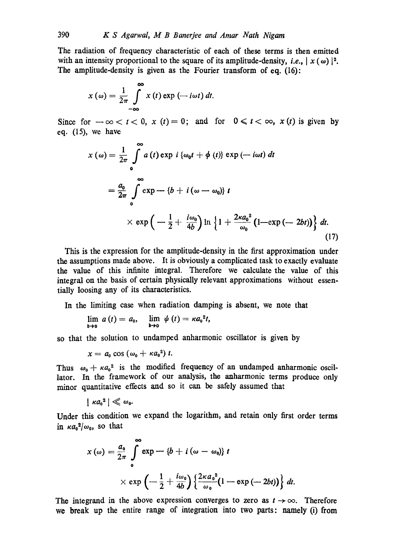The radiation of frequency characteristic of each of these terms is then emitted with an intensity proportional to the square of its amplitude-density, *i.e.*,  $x(\omega)$  |<sup>2</sup>. The amplitude-density is given as the Fourier transform of eq. (16):

$$
x(\omega) = \frac{1}{2\pi} \int_{-\infty}^{\infty} x(t) \exp(-i\omega t) dt.
$$

Since for  $-\infty < t < 0$ ,  $x(t) = 0$ ; and for  $0 \le t < \infty$ ,  $x(t)$  is given by eq. (15), we have

$$
x(\omega) = \frac{1}{2\pi} \int_{0}^{\infty} a(t) \exp i \{\omega_0 t + \phi(t)\} \exp(-i\omega t) dt
$$
  
=  $\frac{a_0}{2\pi} \int_{0}^{\infty} \exp(-\{b + i(\omega - \omega_0)\} t)$   
 $\times \exp(-\frac{1}{2} + \frac{i\omega_0}{4b}) \ln \{1 + \frac{2\kappa a_0^2}{\omega_0} (1 - \exp(-2bt))\} dt.$  (17)

This is the expression for the amplitude-density in the first approximation under the assumptions made above. It is obviously a complicated task to exactly evaluate the value of this infinite integral. Therefore we calculate the value of this integral on the basis of certain physically relevant approximations without essentially loosing any of its characteristics.

In the limiting case when radiation damping is absent, we note that

$$
\lim_{b\to 0} a(t) = a_0, \quad \lim_{b\to 0} \psi(t) = \kappa a_0^2 t,
$$

so that the solution to undamped anharmonic oscillator is given by

$$
x=a_0\cos{(\omega_0+\kappa a_0^2)}t.
$$

Thus  $\omega_0 + \kappa a_0^2$  is the modified frequency of an undamped anharmonic oscillator. In the framework of our analysis, the anharmonie terms produce only minor quantitative effects and so it can be safely assumed that

$$
| \kappa a_0^2 | \ll \omega_0.
$$

Under this condition we expand the logarithm, and retain only first order terms in  $\kappa a_0^2/\omega_0$ , so that

$$
x(\omega) = \frac{a_0}{2\pi} \int_{0}^{\infty} \exp{-\{b + i(\omega - \omega_0)\} t}
$$
  
 
$$
\times \exp\left(-\frac{1}{2} + \frac{i\omega_0}{4b}\right) \left\{\frac{2\kappa a_0^2}{\omega_0} (1 - \exp(-2bt))\right\} dt.
$$

The integrand in the above expression converges to zero as  $t \to \infty$ . Therefore we break up the entire range of integration into two parts: namely (i) from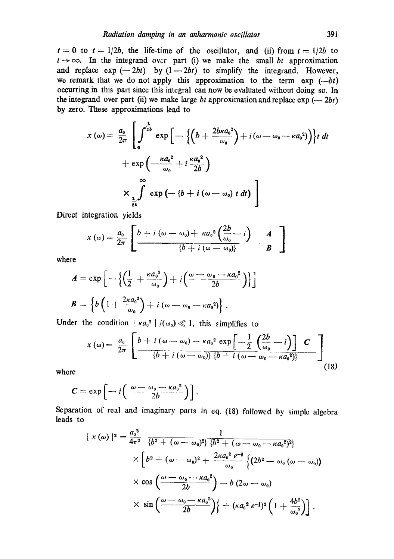$t = 0$  to  $t = 1/2b$ , the life-time of the oscillator, and (ii) from  $t = 1/2b$  to  $t \rightarrow \infty$ . In the integrand over part (i) we make the small *bt* approximation and replace  $\exp(-2bt)$  by  $(1-2bt)$  to simplify the integrand. However, we remark that we do not apply this approximation to the term  $\exp(-bt)$ occurring in this part since this integral can now be evaluated without doing so. In the integrand over part (ii) we make large *bt* approximation and replace  $\exp(-2bt)$ by zero. These approximations lead to

$$
x(\omega) = \frac{a_0}{2\pi} \left[ \int_0^{\frac{1}{2b}} \exp\left[ -\left\{ \left( b + \frac{2b\kappa a_0^2}{\omega_0} \right) + i(\omega - \omega_0 - \kappa a_0^2) \right\} \right\} t \right] dt
$$
  
+ 
$$
\exp\left( -\frac{\kappa a_0^2}{\omega_0} + i \frac{\kappa a_0^2}{2b} \right)
$$
  

$$
\times \prod_{\frac{1}{2b}} \int_0^{\infty} \exp\left( -\left\{ b + i(\omega - \omega_0) \right\} t \right] dt
$$

Direct integration yields

$$
x(\omega) = \frac{a_0}{2\pi} \left[ \frac{b + i(\omega - \omega_0) + \kappa a_0^2 \left( \frac{2b}{\omega_0} - i \right)}{\{b + i(\omega - \omega_0)\}} - \frac{A}{B} \right]
$$

where

$$
A = \exp\left[-\left\{\left(\frac{1}{2} + \frac{\kappa a_0^2}{\omega_0}\right) + i\left(\frac{\omega - \omega_0 - \kappa a_0^2}{2b}\right)\right\}\right]
$$
  

$$
B = \left\{b\left(1 + \frac{2\kappa a_0^2}{\omega_0}\right) + i(\omega - \omega_0 - \kappa a_0^2)\right\}.
$$

Under the condition  $|\kappa a_0|^2 / (\omega_0) \ll 1$ , this simplifies to

$$
x(\omega) = \frac{a_0}{2\pi} \left[ \frac{b + i(\omega - \omega_0) + \kappa a_0^2 \exp\left[-\frac{1}{2} \left(\frac{2b}{\omega_0} - i\right)\right] C}{\left\{b + i(\omega - \omega_0)\right\} \left\{b + i(\omega - \omega_0 - \kappa a_0^2)\right\}} \right]
$$
(18)

where

$$
C = \exp \left[ -i \left( \frac{\omega - \omega_0 - \kappa a_0^2}{2b} \right) \right].
$$

Separation of real and imaginary parts in eq. (18) followed by simple algebra leads to

$$
\begin{split}\n&|\;x\left(\omega\right)|^{2} = \frac{a_{0}^{2}}{4\pi^{2}} \frac{1}{\left\{b^{2} + (\omega - \omega_{0})^{2}\right\}\left\{b^{2} + (\omega - \omega_{0} - \kappa a_{0}^{2})^{2}\right\}} \\
&\times \left[b^{2} + (\omega - \omega_{0})^{2} + \frac{2\kappa a_{0}^{2} e^{-\frac{1}{2}}}{\omega_{0}}\left\{\left(2b^{2} - \omega_{0}\left(\omega - \omega_{0}\right)\right)\right. \\
&\times \cos\left(\frac{\omega - \omega_{0} - \kappa a_{0}^{2}}{2b}\right) - b\left(2\omega - \omega_{0}\right) \\
&\times \sin\left(\frac{\omega - \omega_{0} - \kappa a_{0}^{2}}{2b}\right)\right\} + (\kappa a_{0}^{2} e^{-\frac{1}{2}})^{2}\left(1 + \frac{4b^{2}}{\omega_{0}^{2}}\right)\right].\n\end{split}
$$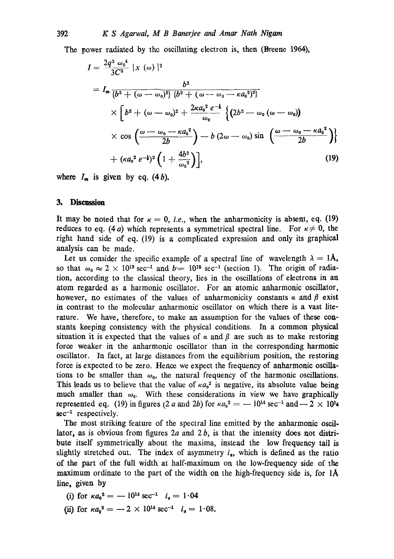The power radiated by the oscillating electron is, then (Breene 1964),

$$
I = \frac{2q^{2} \omega_{0}^{4}}{3C^{3}} |x (\omega)|^{2}
$$
  
=  $I_{m} \frac{b^{2}}{\{b^{2} + (\omega - \omega_{0})^{2}\} \{b^{2} + (\omega - \omega_{0} - \kappa a_{0}^{2})^{2}\}}$   

$$
\times \left[b^{2} + (\omega - \omega_{0})^{2} + \frac{2\kappa a_{0}^{2} e^{-\frac{1}{2}}}{\omega_{0}} \left\{ (2b^{2} - \omega_{0} (\omega - \omega_{0})) \right\}
$$
  

$$
\times \cos \left(\frac{\omega - \omega_{0} - \kappa a_{0}^{2}}{2b}\right) - b (2\omega - \omega_{0}) \sin \left(\frac{\omega - \omega_{0} - \kappa a_{0}^{2}}{2b}\right) \right\}
$$
  
+ 
$$
(\kappa a_{0}^{2} e^{-\frac{1}{2}})^{2} \left(1 + \frac{4b^{2}}{\omega_{0}^{2}}\right), \qquad (19)
$$

where  $I_m$  is given by eq. (4b).

### **3. Discussion**

It may be noted that for  $\kappa = 0$ , *i.e.*, when the anharmonicity is absent, eq. (19) reduces to eq. (4*a*) which represents a symmetrical spectral line. For  $\kappa \neq 0$ , the right hand side of eq. (19) is a complicated expression and only its graphical analysis can be made.

Let us consider the specific example of a spectral line of wavelength  $\lambda = 1$ Å, so that  $\omega_0 \approx 2 \times 10^{19}$  sec<sup>-1</sup> and  $b=10^{15}$  sec<sup>-1</sup> (section 1). The origin of radiation, according to the classical theory, lies in the oscillations of electrons in an atom regarded as a harmonic oscillator. For an atomic anharmonic oscillator, however, no estimates of the values of anharmonicity constants  $\alpha$  and  $\beta$  exist in contrast to the molecular anharmonic oscillator on which there is a vast literature. We have, therefore, to make an assumption for the values of these constants keeping consistency with the physical conditions. In a common physical situation it is expected that the values of  $\alpha$  and  $\beta$  are such as to make restoring force weaker in the anharmonic oscillator than in the corresponding harmonic oscillator. In fact, at large distances from the equilibrium position, the restoring force is expected to be zero. Hence we expect the frequency of anharmonic oscillations to be smaller than  $\omega_0$ , the natural frequency of the harmonic oscillations. This leads us to believe that the value of  $\kappa a_0^2$  is negative, its absolute value being much smaller than  $\omega_0$ . With these considerations in view we have graphically represented eq. (19) in figures (2 a and 2b) for  $\kappa a_0^2 = -10^{14} \text{ sec}^{-1}$  and  $- 2 \times 10^{14}$  $sec^{-1}$  respectively.

The most striking feature of the spectral line emitted by the anharmonic oscillator, as is obvious from figures 2a and 2 *b,* is that the intensity does not distribute itself symmetrically about the maxima, instead the low frequency tail is slightly stretched out. The index of asymmetry  $i_a$ , which is defined as the ratio of the part of the full width at half-maximum on the low-frequency side of the maximum ordinate to the part of the width on the high-frequency side is, for 1A line, given by

(i) for  $\kappa a_0^2 = -10^{14} \text{ sec}^{-1}$   $i_a = 1.04$ 

(ii) for  $\kappa a_0^2 = -2 \times 10^{14} \text{ sec}^{-1}$   $i_a = 1.08$ .